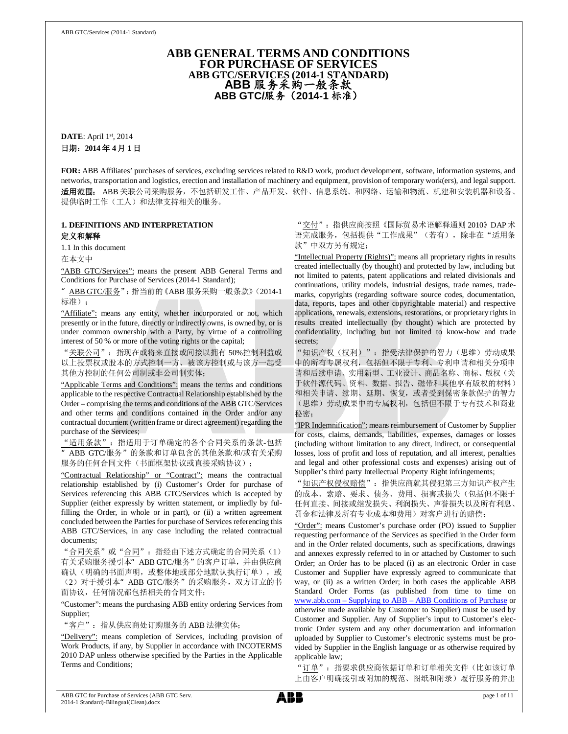## **ABB GENERAL TERMS AND CONDITIONS FOR PURCHASE OF SERVICES ABB GTC/SERVICES (2014-1 STANDARD) ABB** 服务采购一般条款 **ABB GTC/**服务(**2014-1** 标准)

**DATE**: April 1st, 2014 日期:**2014** 年 **4** 月 **1** 日

**FOR:** ABB Affiliates' purchases of services, excluding services related to R&D work, product development, software, information systems, and networks, transportation and logistics, erection and installation of machinery and equipment, provision of temporary work(ers), and legal support. 适用范围: ABB 关联公司采购服务,不包括研发工作、产品开发、软件、信息系统、和网络、运输和物流、机建和安装机器和设备、 提供临时工作(工人)和法律支持相关的服务。

## **1. DEFINITIONS AND INTERPRETATION** 定义和解释

1.1 In this document

在本文中

"ABB GTC/Services": means the present ABB General Terms and Conditions for Purchase of Services (2014-1 Standard);

ABB GTC/服务": 指当前的《ABB 服务采购一般条款》(2014-1 标准);

"Affiliate": means any entity, whether incorporated or not, which presently or in the future, directly or indirectly owns, is owned by, or is under common ownership with a Party, by virtue of a controlling interest of 50 % or more of the voting rights or the capital;

"关联公司":指现在或将来直接或间接以拥有 50%控制利益或 以上投票权或股本的方式控制一方、被该方控制或与该方一起受 其他方控制的任何公司制或非公司制实体;

"Applicable Terms and Conditions": means the terms and conditions applicable to the respective Contractual Relationship established by the Order – comprising the terms and conditions of the ABB GTC/Services and other terms and conditions contained in the Order and/or any contractual document (written frame or direct agreement) regarding the purchase of the Services;

"适用条款":指适用于订单确定的各个合同关系的条款-包括 "ABB GTC/服务"的条款和订单包含的其他条款和/或有关采购 服务的任何合同文件(书面框架协议或直接采购协议);

"Contractual Relationship" or "Contract": means the contractual relationship established by (i) Customer's Order for purchase of Services referencing this ABB GTC/Services which is accepted by Supplier (either expressly by written statement, or impliedly by fulfilling the Order, in whole or in part), or (ii) a written agreement concluded between the Parties for purchase of Services referencing this ABB GTC/Services, in any case including the related contractual documents;

"合同关系"或"合同": 指经由下述方式确定的合同关系(1) 有关采购服务援引本" ABB GTC/服务"的客户订单,并由供应商 确认(明确的书面声明,或整体地或部分地默认执行订单),或 (2)对于援引本"ABB GTC/服务"的采购服务,双方订立的书 面协议,任何情况都包括相关的合同文件;

"Customer": means the purchasing ABB entity ordering Services from Supplier;

"客户":指从供应商处订购服务的 ABB 法律实体;

"Delivery": means completion of Services, including provision of Work Products, if any, by Supplier in accordance with INCOTERMS 2010 DAP unless otherwise specified by the Parties in the Applicable Terms and Conditions;

"交付":指供应商按照《国际贸易术语解释通则 2010》DAP 术 语完成服务,包括提供"工作成果"(若有),除非在"适用条 款"中双方另有规定;

"Intellectual Property (Rights)": means all proprietary rights in results created intellectually (by thought) and protected by law, including but not limited to patents, patent applications and related divisionals and continuations, utility models, industrial designs, trade names, trademarks, copyrights (regarding software source codes, documentation, data, reports, tapes and other copyrightable material) and respective applications, renewals, extensions, restorations, or proprietary rights in results created intellectually (by thought) which are protected by confidentiality, including but not limited to know-how and trade secrets;

"知识产权(权利)":指受法律保护的智力(思维)劳动成果 中的所有专属权利,包括但不限于专利、专利申请和相关分项申 请和后续申请、实用新型、工业设计、商品名称、商标、版权(关 于软件源代码、资料、数据、报告、磁带和其他享有版权的材料) 和相关申请、续期、延期、恢复,或者受到保密条款保护的智力 (思维)劳动成果中的专属权利,包括但不限于专有技术和商业 秘密;

"IPR Indemnification": means reimbursement of Customer by Supplier for costs, claims, demands, liabilities, expenses, damages or losses (including without limitation to any direct, indirect, or consequential losses, loss of profit and loss of reputation, and all interest, penalties and legal and other professional costs and expenses) arising out of Supplier's third party Intellectual Property Right infringements;

"知识产权侵权赔偿": 指供应商就其侵犯第三方知识产权产生 的成本、索赔、要求、债务、费用、损害或损失(包括但不限于 任何直接、间接或继发损失、利润损失、声誉损失以及所有利息、 罚金和法律及所有专业成本和费用)对客户进行的赔偿;

"Order": means Customer's purchase order (PO) issued to Supplier requesting performance of the Services as specified in the Order form and in the Order related documents, such as specifications, drawings and annexes expressly referred to in or attached by Customer to such Order; an Order has to be placed (i) as an electronic Order in case Customer and Supplier have expressly agreed to communicate that way, or (ii) as a written Order; in both cases the applicable ABB Standard Order Forms (as published from time to time on www.abb.com – Supplying to ABB – ABB Conditions of Purchase or otherwise made available by Customer to Supplier) must be used by Customer and Supplier. Any of Supplier's input to Customer's electronic Order system and any other documentation and information uploaded by Supplier to Customer's electronic systems must be provided by Supplier in the English language or as otherwise required by applicable law;

"订单":指要求供应商依据订单和订单相关文件(比如该订单 上由客户明确援引或附加的规范、图纸和附录)履行服务的并出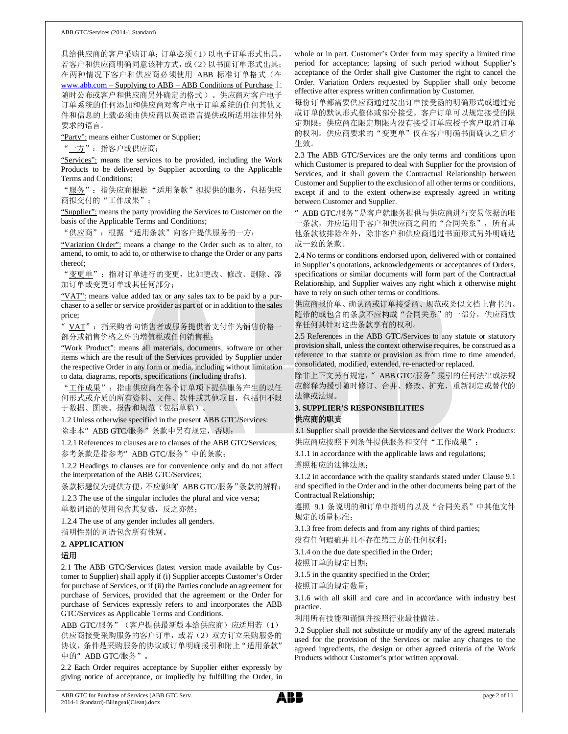具给供应商的客户采购订单;订单必须(1)以电子订单形式出具, 若客户和供应商明确同意该种方式,或(2)以书面订单形式出具; 在两种情况下客户和供应商必须使用 ABB 标准订单格式(在 www.abb.com – Supplying to ABB – ABB Conditions of Purchase 上 随时公布或客户和供应商另外确定的格式 )。供应商对客户电子 订单系统的任何添加和供应商对客户电子订单系统的任何其他文 件和信息的上载必须由供应商以英语语言提供或所适用法律另外 要求的语言。

"Party": means either Customer or Supplier;

"<u>一方</u>": 指客户或供应商;

"Services": means the services to be provided, including the Work Products to be delivered by Supplier according to the Applicable Terms and Conditions;

"服务":指供应商根据 "适用条款"拟提供的服务,包括供应 商拟交付的"工作成果";

"Supplier": means the party providing the Services to Customer on the basis of the Applicable Terms and Conditions;

"供应商": 根据"适用条款"向客户提供服务的一方;

"Variation Order": means a change to the Order such as to alter, to amend, to omit, to add to, or otherwise to change the Order or any parts thereof;

"变更单":指对订单进行的变更,比如更改、修改、删除、添 加订单或变更订单或其任何部分;

"VAT": means value added tax or any sales tax to be paid by a purchaser to a seller or service provider as part of or in addition to the sales price;

VAT": 指采购者向销售者或服务提供者支付作为销售价格一 部分或销售价格之外的增值税或任何销售税;

"Work Product": means all materials, documents, software or other items which are the result of the Services provided by Supplier under the respective Order in any form or media, including without limitation to data, diagrams, reports, specifications (including drafts).

"工作成果":指由供应商在各个订单项下提供服务产生的以任 何形式或介质的所有资料、文件、软件或其他项目,包括但不限 于数据、图表、报告和规范(包括草稿)。

1.2 Unless otherwise specified in the present ABB GTC/Services: 除非本"ABB GTC/服务"条款中另有规定,否则:

1.2.1 References to clauses are to clauses of the ABB GTC/Services; 参考条款是指参考"ABB GTC/服务"中的条款;

1.2.2 Headings to clauses are for convenience only and do not affect the interpretation of the ABB GTC/Services;

条款标题仅为提供方便,不应影响 ABB GTC/服务"条款的解释;

1.2.3 The use of the singular includes the plural and vice versa;

单数词语的使用包含其复数,反之亦然;

1.2.4 The use of any gender includes all genders.

指明性别的词语包含所有性别。

# **2. APPLICATION**

# 适用

2.1 The ABB GTC/Services (latest version made available by Customer to Supplier) shall apply if (i) Supplier accepts Customer's Order for purchase of Services, or if (ii) the Parties conclude an agreement for purchase of Services, provided that the agreement or the Order for purchase of Services expressly refers to and incorporates the ABB GTC/Services as Applicable Terms and Conditions.

ABB GTC/服务"(客户提供最新版本给供应商)应适用若(1) 供应商接受采购服务的客户订单,或若(2)双方订立采购服务的 协议,条件是采购服务的协议或订单明确援引和附上"适用条款" 中的" ABB GTC/服务"。

2.2 Each Order requires acceptance by Supplier either expressly by giving notice of acceptance, or impliedly by fulfilling the Order, in

whole or in part. Customer's Order form may specify a limited time period for acceptance; lapsing of such period without Supplier's acceptance of the Order shall give Customer the right to cancel the Order. Variation Orders requested by Supplier shall only become effective after express written confirmation by Customer.

每份订单都需要供应商通过发出订单接受函的明确形式或通过完 成订单的默认形式整体或部分接受。客户订单可以规定接受的限 定期限;供应商在限定期限内没有接受订单应授予客户取消订单 的权利。供应商要求的"变更单"仅在客户明确书面确认之后才 生效。

2.3 The ABB GTC/Services are the only terms and conditions upon which Customer is prepared to deal with Supplier for the provision of Services, and it shall govern the Contractual Relationship between Customer and Supplier to the exclusion of all other terms or conditions, except if and to the extent otherwise expressly agreed in writing between Customer and Supplier.

"ABB GTC/服务"是客户就服务提供与供应商进行交易依据的唯 一条款,并应适用于客户和供应商之间的"合同关系",所有其 他条款被排除在外,除非客户和供应商通过书面形式另外明确达 成一致的条款。

2.4 No terms or conditions endorsed upon, delivered with or contained in Supplier's quotations, acknowledgements or acceptances of Orders, specifications or similar documents will form part of the Contractual Relationship, and Supplier waives any right which it otherwise might have to rely on such other terms or conditions.

供应商报价单、确认函或订单接受函、规范或类似文档上背书的、 随带的或包含的条款不应构成"合同关系"的一部分,供应商放 弃任何其针对这些条款享有的权利。

2.5 References in the ABB GTC/Services to any statute or statutory provision shall, unless the context otherwise requires, be construed as a reference to that statute or provision as from time to time amended, consolidated, modified, extended, re-enacted or replaced.

除非上下文另有规定," ABB GTC/服务"援引的任何法律或法规 应解释为援引随时修订、合并、修改、扩充、重新制定或替代的 法律或法规。

# **3. SUPPLIER'S RESPONSIBILITIES**

## 供应商的职责

3.1 Supplier shall provide the Services and deliver the Work Products: 供应商应按照下列条件提供服务和交付"工作成果":

3.1.1 in accordance with the applicable laws and regulations; 遵照相应的法律法规;

3.1.2 in accordance with the quality standards stated under Clause 9.1 and specified in the Order and in the other documents being part of the Contractual Relationship;

遵照 9.1 条说明的和订单中指明的以及"合同关系"中其他文件 规定的质量标准;

3.1.3 free from defects and from any rights of third parties;

没有任何瑕疵并且不存在第三方的任何权利;

3.1.4 on the due date specified in the Order;

按照订单的规定日期;

3.1.5 in the quantity specified in the Order;

按照订单的规定数量;

3.1.6 with all skill and care and in accordance with industry best practice.

#### 利用所有技能和谨慎并按照行业最佳做法。

3.2 Supplier shall not substitute or modify any of the agreed materials used for the provision of the Services or make any changes to the agreed ingredients, the design or other agreed criteria of the Work Products without Customer's prior written approval.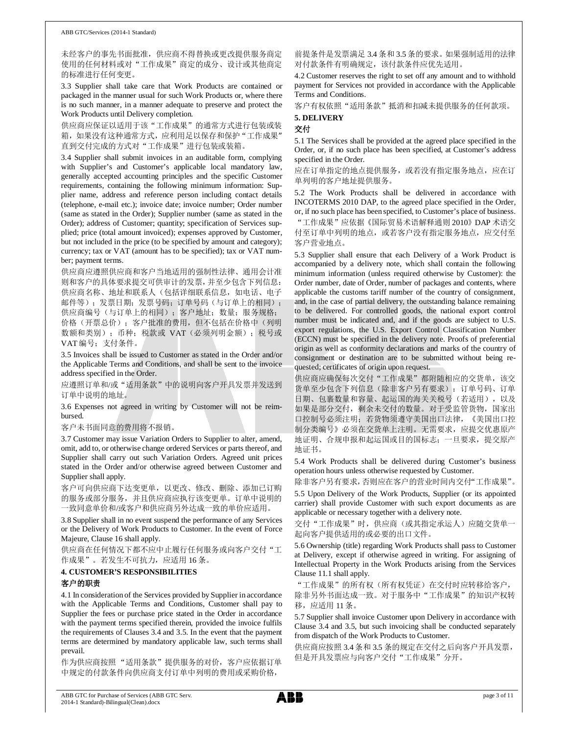#### ABB GTC/Services (2014-1 Standard)

未经客户的事先书面批准,供应商不得替换或更改提供服务商定 使用的任何材料或对"工作成果"商定的成分、设计或其他商定 的标准进行任何变更。

3.3 Supplier shall take care that Work Products are contained or packaged in the manner usual for such Work Products or, where there is no such manner, in a manner adequate to preserve and protect the Work Products until Delivery completion.

供应商应保证以适用于该"工作成果"的通常方式进行包装或装 箱,如果没有这种通常方式,应利用足以保存和保护"工作成果" 直到交付完成的方式对"工作成果"进行包装或装箱。

3.4 Supplier shall submit invoices in an auditable form, complying with Supplier's and Customer's applicable local mandatory law, generally accepted accounting principles and the specific Customer requirements, containing the following minimum information: Supplier name, address and reference person including contact details (telephone, e-mail etc.); invoice date; invoice number; Order number (same as stated in the Order); Supplier number (same as stated in the Order); address of Customer; quantity; specification of Services supplied; price (total amount invoiced); expenses approved by Customer, but not included in the price (to be specified by amount and category); currency; tax or VAT (amount has to be specified); tax or VAT number; payment terms.

供应商应遵照供应商和客户当地适用的强制性法律、通用会计准 则和客户的具体要求提交可供审计的发票,并至少包含下列信息: 供应商名称、地址和联系人(包括详细联系信息,如电话、电子 邮件等);发票日期;发票号码;订单号码(与订单上的相同); 供应商编号(与订单上的相同);客户地址;数量;服务规格;

价格(开票总价);客户批准的费用,但不包括在价格中(列明 数额和类别); 币种;税款或 VAT (必须列明金额); 税号或 VAT 编号;支付条件。

3.5 Invoices shall be issued to Customer as stated in the Order and/or the Applicable Terms and Conditions, and shall be sent to the invoice address specified in the Order.

应遵照订单和/或"适用条款"中的说明向客户开具发票并发送到 订单中说明的地址。

3.6 Expenses not agreed in writing by Customer will not be reimbursed.

客户未书面同意的费用将不报销。

3.7 Customer may issue Variation Orders to Supplier to alter, amend, omit, add to, or otherwise change ordered Services or parts thereof, and Supplier shall carry out such Variation Orders. Agreed unit prices stated in the Order and/or otherwise agreed between Customer and Supplier shall apply.

客户可向供应商下达变更单,以更改、修改、删除、添加已订购 的服务或部分服务,并且供应商应执行该变更单。订单中说明的 一致同意单价和/或客户和供应商另外达成一致的单价应适用。

3.8 Supplier shall in no event suspend the performance of any Services or the Delivery of Work Products to Customer. In the event of Force Majeure, Clause 16 shall apply.

供应商在任何情况下都不应中止履行任何服务或向客户交付"工 作成果"。若发生不可抗力,应适用 16 条。

## **4. CUSTOMER'S RESPONSIBILITIES** 客户的职责

4.1 In consideration of the Services provided by Supplier in accordance with the Applicable Terms and Conditions, Customer shall pay to Supplier the fees or purchase price stated in the Order in accordance with the payment terms specified therein, provided the invoice fulfils the requirements of Clauses 3.4 and 3.5. In the event that the payment terms are determined by mandatory applicable law, such terms shall prevail.

作为供应商按照 "适用条款"提供服务的对价,客户应依据订单 中规定的付款条件向供应商支付订单中列明的费用或采购价格,

前提条件是发票满足 3.4 条和 3.5 条的要求。如果强制适用的法律 对付款条件有明确规定,该付款条件应优先适用。

4.2 Customer reserves the right to set off any amount and to withhold payment for Services not provided in accordance with the Applicable Terms and Conditions.

客户有权依照"适用条款"抵消和扣减未提供服务的任何款项。 **5. DELIVERY**

# 交付

5.1 The Services shall be provided at the agreed place specified in the Order, or, if no such place has been specified, at Customer's address specified in the Order.

应在订单指定的地点提供服务,或若没有指定服务地点,应在订 单列明的客户地址提供服务。

5.2 The Work Products shall be delivered in accordance with INCOTERMS 2010 DAP, to the agreed place specified in the Order, or, if no such place has been specified, to Customer's place of business. "工作成果"应依据《国际贸易术语解释通则 2010》DAP 术语交 付至订单中列明的地点,或若客户没有指定服务地点,应交付至 客户营业地点。

5.3 Supplier shall ensure that each Delivery of a Work Product is accompanied by a delivery note, which shall contain the following minimum information (unless required otherwise by Customer): the Order number, date of Order, number of packages and contents, where applicable the customs tariff number of the country of consignment, and, in the case of partial delivery, the outstanding balance remaining to be delivered. For controlled goods, the national export control number must be indicated and, and if the goods are subject to U.S. export regulations, the U.S. Export Control Classification Number (ECCN) must be specified in the delivery note. Proofs of preferential origin as well as conformity declarations and marks of the country of consignment or destination are to be submitted without being requested; certificates of origin upon request.

供应商应确保每次交付"工作成果"都附随相应的交货单,该交 货单至少包含下列信息(除非客户另有要求): 订单号码、订单 日期、包裹数量和容量、起运国的海关关税号(若适用),以及 如果是部分交付,剩余未交付的数量。对于受监管货物,国家出 口控制号必须注明;若货物须遵守美国出口法律,《美国出口控 制分类编号》必须在交货单上注明。无需要求,应提交优惠原产 地证明、合规申报和起运国或目的国标志;一旦要求,提交原产 地证书。

5.4 Work Products shall be delivered during Customer's business operation hours unless otherwise requested by Customer.

除非客户另有要求,否则应在客户的营业时间内交付"工作成果"。

5.5 Upon Delivery of the Work Products, Supplier (or its appointed carrier) shall provide Customer with such export documents as are applicable or necessary together with a delivery note.

交付"工作成果"时,供应商(或其指定承运人)应随交货单一 起向客户提供适用的或必要的出口文件。

5.6 Ownership (title) regarding Work Products shall pass to Customer at Delivery, except if otherwise agreed in writing. For assigning of Intellectual Property in the Work Products arising from the Services Clause 11.1 shall apply.

"工作成果"的所有权(所有权凭证)在交付时应转移给客户, 除非另外书面达成一致。对于服务中"工作成果"的知识产权转 移,应适用 11 条。

5.7 Supplier shall invoice Customer upon Delivery in accordance with Clause 3.4 and 3.5, but such invoicing shall be conducted separately from dispatch of the Work Products to Customer.

供应商应按照 3.4 条和 3.5 条的规定在交付之后向客户开具发票, 但是开具发票应与向客户交付"工作成果"分开。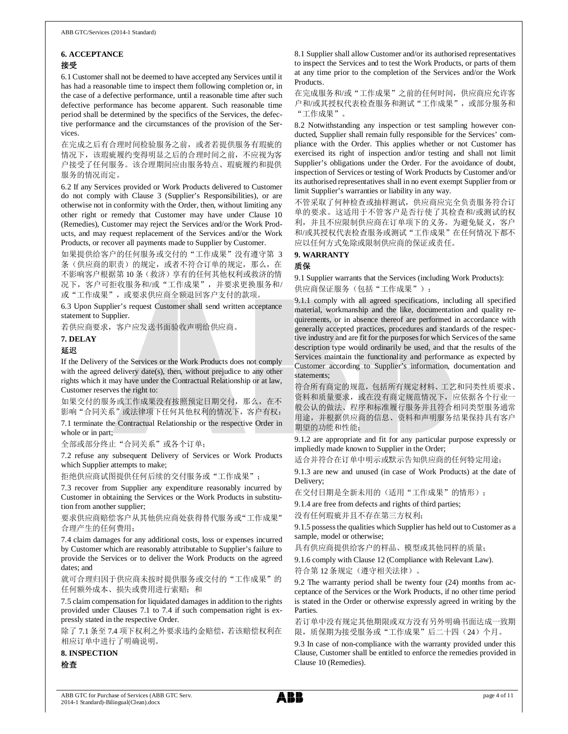## **6. ACCEPTANCE** 接受

6.1 Customer shall not be deemed to have accepted any Services until it has had a reasonable time to inspect them following completion or, in the case of a defective performance, until a reasonable time after such defective performance has become apparent. Such reasonable time period shall be determined by the specifics of the Services, the defective performance and the circumstances of the provision of the Services.

在完成之后有合理时间检验服务之前,或者若提供服务有瑕疵的 情况下,该瑕疵履约变得明显之后的合理时间之前,不应视为客 户接受了任何服务。该合理期间应由服务特点、瑕疵履约和提供 服务的情况而定。

6.2 If any Services provided or Work Products delivered to Customer do not comply with Clause 3 (Supplier's Responsibilities), or are otherwise not in conformity with the Order, then, without limiting any other right or remedy that Customer may have under Clause 10 (Remedies), Customer may reject the Services and/or the Work Products, and may request replacement of the Services and/or the Work Products, or recover all payments made to Supplier by Customer.

如果提供给客户的任何服务或交付的"工作成果"没有遵守第 3 条(供应商的职责)的规定, 或者不符合订单的规定, 那么, 在 不影响客户根据第 10 条(救济)享有的任何其他权利或救济的情 况下,客户可拒收服务和/或"工作成果",并要求更换服务和/ 或"工作成果",或要求供应商全额退回客户支付的款项。

6.3 Upon Supplier's request Customer shall send written acceptance statement to Supplier.

若供应商要求,客户应发送书面验收声明给供应商。

### **7. DELAY**

### 延迟

If the Delivery of the Services or the Work Products does not comply with the agreed delivery date(s), then, without prejudice to any other rights which it may have under the Contractual Relationship or at law, Customer reserves the right to:

如果交付的服务或工作成果没有按照预定日期交付,那么,在不 影响"合同关系"或法律项下任何其他权利的情况下, 客户有权:

7.1 terminate the Contractual Relationship or the respective Order in whole or in part;

全部或部分终止"合同关系"或各个订单;

7.2 refuse any subsequent Delivery of Services or Work Products which Supplier attempts to make;

拒绝供应商试图提供任何后续的交付服务或"工作成果";

7.3 recover from Supplier any expenditure reasonably incurred by Customer in obtaining the Services or the Work Products in substitution from another supplier;

要求供应商赔偿客户从其他供应商处获得替代服务或"工作成果" 合理产生的任何费用;

7.4 claim damages for any additional costs, loss or expenses incurred by Customer which are reasonably attributable to Supplier's failure to provide the Services or to deliver the Work Products on the agreed dates; and

就可合理归因于供应商未按时提供服务或交付的"工作成果"的 任何额外成本、损失或费用进行索赔;和

7.5 claim compensation for liquidated damages in addition to the rights provided under Clauses 7.1 to 7.4 if such compensation right is expressly stated in the respective Order.

除了 7.1 条至 7.4 项下权利之外要求违约金赔偿,若该赔偿权利在 相应订单中进行了明确说明。

**8. INSPECTION**

检查

8.1 Supplier shall allow Customer and/or its authorised representatives to inspect the Services and to test the Work Products, or parts of them at any time prior to the completion of the Services and/or the Work Products.

在完成服务和/或"工作成果"之前的任何时间,供应商应允许客 户和/或其授权代表检查服务和测试"工作成果",或部分服务和 "工作成果"。

8.2 Notwithstanding any inspection or test sampling however conducted, Supplier shall remain fully responsible for the Services' compliance with the Order. This applies whether or not Customer has exercised its right of inspection and/or testing and shall not limit Supplier's obligations under the Order. For the avoidance of doubt, inspection of Services or testing of Work Products by Customer and/or its authorised representatives shall in no event exempt Supplier from or limit Supplier's warranties or liability in any way.

不管采取了何种检查或抽样测试,供应商应完全负责服务符合订 单的要求。这适用于不管客户是否行使了其检查和/或测试的权 利,并且不应限制供应商在订单项下的义务。为避免疑义,客户 和/或其授权代表检查服务或测试"工作成果"在任何情况下都不 应以任何方式免除或限制供应商的保证或责任。

## **9. WARRANTY**

## 质保

9.1 Supplier warrants that the Services (including Work Products):

供应商保证服务(包括"工作成果"):

9.1.1 comply with all agreed specifications, including all specified material, workmanship and the like, documentation and quality requirements, or in absence thereof are performed in accordance with generally accepted practices, procedures and standards of the respective industry and are fit for the purposes for which Services of the same description type would ordinarily be used, and that the results of the Services maintain the functionality and performance as expected by Customer according to Supplier's information, documentation and statements;

符合所有商定的规范,包括所有规定材料、工艺和同类性质要求、 资料和质量要求,或在没有商定规范情况下,应依据各个行业一 般公认的做法、程序和标准履行服务并且符合相同类型服务通常 用途,并根据供应商的信息、资料和声明服务结果保持具有客户 期望的功能和性能;

9.1.2 are appropriate and fit for any particular purpose expressly or impliedly made known to Supplier in the Order;

适合并符合在订单中明示或默示告知供应商的任何特定用途;

9.1.3 are new and unused (in case of Work Products) at the date of Delivery;

在交付日期是全新未用的(适用"工作成果"的情形);

9.1.4 are free from defects and rights of third parties;

没有任何瑕疵并且不存在第三方权利;

9.1.5 possess the qualities which Supplier has held out to Customer as a sample, model or otherwise;

具有供应商提供给客户的样品、模型或其他同样的质量;

9.1.6 comply with Clause 12 (Compliance with Relevant Law).

符合第 12 条规定(遵守相关法律)。

9.2 The warranty period shall be twenty four (24) months from acceptance of the Services or the Work Products, if no other time period is stated in the Order or otherwise expressly agreed in writing by the Parties.

若订单中没有规定其他期限或双方没有另外明确书面达成一致期 限,质保期为接受服务或"工作成果"后二十四(24)个月。

9.3 In case of non-compliance with the warranty provided under this Clause, Customer shall be entitled to enforce the remedies provided in Clause 10 (Remedies).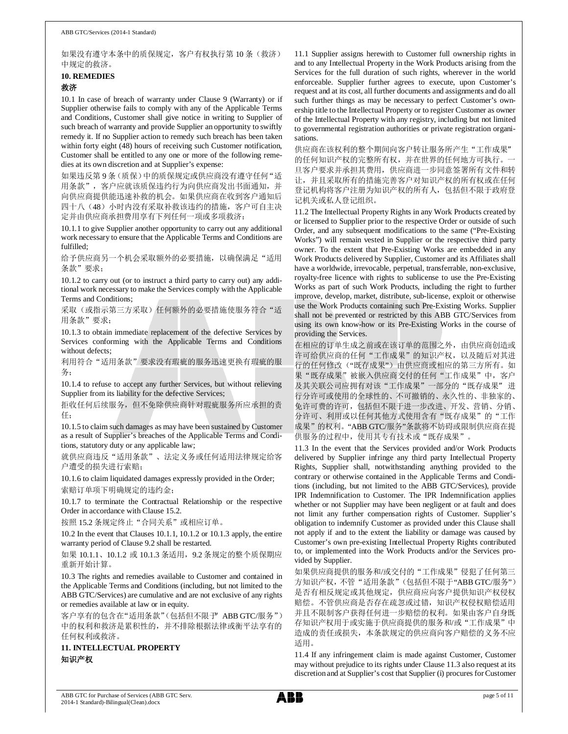如果没有遵守本条中的质保规定,客户有权执行第 10 条(救济) 中规定的救济。

# **10. REMEDIES**

## 救济

10.1 In case of breach of warranty under Clause 9 (Warranty) or if Supplier otherwise fails to comply with any of the Applicable Terms and Conditions, Customer shall give notice in writing to Supplier of such breach of warranty and provide Supplier an opportunity to swiftly remedy it. If no Supplier action to remedy such breach has been taken within forty eight (48) hours of receiving such Customer notification, Customer shall be entitled to any one or more of the following remedies at its own discretion and at Supplier's expense:

如果违反第9条(质保)中的质保规定或供应商没有遵守任何"适 用条款",客户应就该质保违约行为向供应商发出书面通知,并 向供应商提供能迅速补救的机会。如果供应商在收到客户通知后 四十八(48)小时内没有采取补救该违约的措施, 客户可自主决 定并由供应商承担费用享有下列任何一项或多项救济:

10.1.1 to give Supplier another opportunity to carry out any additional work necessary to ensure that the Applicable Terms and Conditions are fulfilled;

给予供应商另一个机会采取额外的必要措施, 以确保满足"适用 条款"要求;

10.1.2 to carry out (or to instruct a third party to carry out) any additional work necessary to make the Services comply with the Applicable Terms and Conditions;

采取(或指示第三方采取)任何额外的必要措施使服务符合"适 用条款"要求;

10.1.3 to obtain immediate replacement of the defective Services by Services conforming with the Applicable Terms and Conditions without defects:

利用符合"适用条款"要求没有瑕疵的服务迅速更换有瑕疵的服 务;

10.1.4 to refuse to accept any further Services, but without relieving Supplier from its liability for the defective Services;

拒收任何后续服务,但不免除供应商针对瑕疵服务所应承担的责 任;

10.1.5 to claim such damages as may have been sustained by Customer as a result of Supplier's breaches of the Applicable Terms and Conditions, statutory duty or any applicable law;

就供应商违反"适用条款"、法定义务或任何适用法律规定给客 户遭受的损失进行索赔;

10.1.6 to claim liquidated damages expressly provided in the Order; 索赔订单项下明确规定的违约金;

10.1.7 to terminate the Contractual Relationship or the respective Order in accordance with Clause 15.2.

按照 15.2 条规定终止"合同关系"或相应订单。

10.2 In the event that Clauses 10.1.1, 10.1.2 or 10.1.3 apply, the entire warranty period of Clause 9.2 shall be restarted.

如果 10.1.1、10.1.2 或 10.1.3 条适用,9.2 条规定的整个质保期应 重新开始计算。

10.3 The rights and remedies available to Customer and contained in the Applicable Terms and Conditions (including, but not limited to the ABB GTC/Services) are cumulative and are not exclusive of any rights or remedies available at law or in equity.

客户享有的包含在"适用条款"(包括但不限于 ABB GTC/服务") 中的权利和救济是累积性的,并不排除根据法律或衡平法享有的 任何权利或救济。

**11. INTELLECTUAL PROPERTY** 知识产权

11.1 Supplier assigns herewith to Customer full ownership rights in and to any Intellectual Property in the Work Products arising from the Services for the full duration of such rights, wherever in the world enforceable. Supplier further agrees to execute, upon Customer's request and at its cost, all further documents and assignments and do all such further things as may be necessary to perfect Customer's ownership title to the Intellectual Property or to register Customer as owner of the Intellectual Property with any registry, including but not limited to governmental registration authorities or private registration organisations.

供应商在该权利的整个期间向客户转让服务所产生"工作成果" 的任何知识产权的完整所有权,并在世界的任何地方可执行。一 旦客户要求并承担其费用,供应商进一步同意签署所有文件和转 让,并且采取所有的措施完善客户对知识产权的所有权或在任何 登记机构将客户注册为知识产权的所有人,包括但不限于政府登 记机关或私人登记组织。

11.2 The Intellectual Property Rights in any Work Products created by or licensed to Supplier prior to the respective Order or outside of such Order, and any subsequent modifications to the same ("Pre-Existing Works") will remain vested in Supplier or the respective third party owner. To the extent that Pre-Existing Works are embedded in any Work Products delivered by Supplier, Customer and its Affiliates shall have a worldwide, irrevocable, perpetual, transferrable, non-exclusive, royalty-free licence with rights to sublicense to use the Pre-Existing Works as part of such Work Products, including the right to further improve, develop, market, distribute, sub-license, exploit or otherwise use the Work Products containing such Pre-Existing Works. Supplier shall not be prevented or restricted by this ABB GTC/Services from using its own know-how or its Pre-Existing Works in the course of providing the Services.

在相应的订单生成之前或在该订单的范围之外,由供应商创造或 许可给供应商的任何"工作成果"的知识产权,以及随后对其进 行的任何修改("既存成果")由供应商或相应的第三方所有。如 果"既存成果"被嵌入供应商交付的任何"工作成果"中, 客户 及其关联公司应拥有对该"工作成果"一部分的"既存成果"进 行分许可或使用的全球性的、不可撤销的、永久性的、非独家的、 免许可费的许可,包括但不限于进一步改进、开发、营销、分销、 分许可、利用或以任何其他方式使用含有"既存成果"的"工作 成果"的权利。"ABB GTC/服务"条款将不妨碍或限制供应商在提 供服务的过程中,使用其专有技术或"既存成果"。

11.3 In the event that the Services provided and/or Work Products delivered by Supplier infringe any third party Intellectual Property Rights, Supplier shall, notwithstanding anything provided to the contrary or otherwise contained in the Applicable Terms and Conditions (including, but not limited to the ABB GTC/Services), provide IPR Indemnification to Customer. The IPR Indemnification applies whether or not Supplier may have been negligent or at fault and does not limit any further compensation rights of Customer. Supplier's obligation to indemnify Customer as provided under this Clause shall not apply if and to the extent the liability or damage was caused by Customer's own pre-existing Intellectual Property Rights contributed to, or implemented into the Work Products and/or the Services provided by Supplier.

如果供应商提供的服务和/或交付的"工作成果"侵犯了任何第三 方知识产权, 不管"适用条款"(包括但不限于"ABB GTC/服务") 是否有相反规定或其他规定,供应商应向客户提供知识产权侵权 赔偿。不管供应商是否存在疏忽或过错,知识产权侵权赔偿适用 并且不限制客户获得任何进一步赔偿的权利。如果由客户自身既 存知识产权用于或实施于供应商提供的服务和/或"工作成果"中 造成的责任或损失,本条款规定的供应商向客户赔偿的义务不应 适用。

11.4 If any infringement claim is made against Customer, Customer may without prejudice to its rights under Clause 11.3 also request at its discretion and at Supplier's cost that Supplier (i) procures for Customer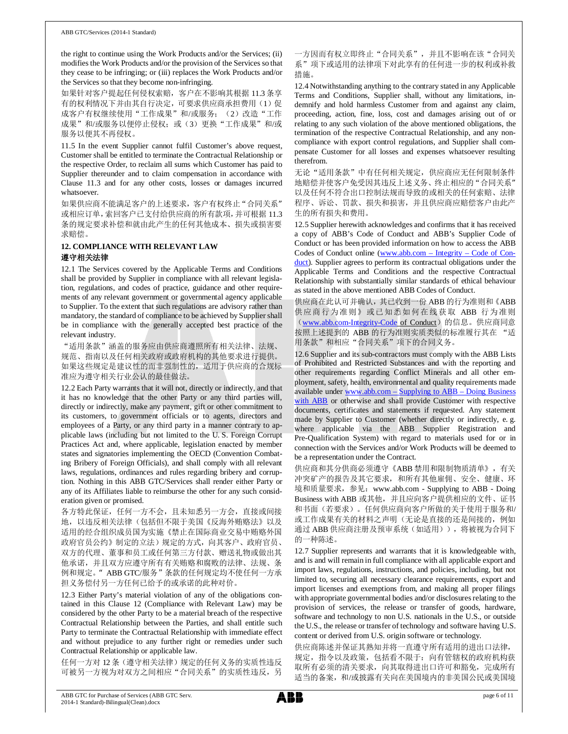the right to continue using the Work Products and/or the Services; (ii) modifies the Work Products and/or the provision of the Services so that they cease to be infringing; or (iii) replaces the Work Products and/or the Services so that they become non-infringing.

如果针对客户提起任何侵权索赔,客户在不影响其根据 11.3 条享 有的权利情况下并由其自行决定,可要求供应商承担费用(1)促 成客户有权继续使用"工作成果"和/或服务;(2)改造"工作 成果"和/或服务以便停止侵权;或(3)更换"工作成果"和/或 服务以便其不再侵权。

11.5 In the event Supplier cannot fulfil Customer's above request, Customer shall be entitled to terminate the Contractual Relationship or the respective Order, to reclaim all sums which Customer has paid to Supplier thereunder and to claim compensation in accordance with Clause 11.3 and for any other costs, losses or damages incurred whatsoever.

如果供应商不能满足客户的上述要求,客户有权终止"合同关系" 或相应订单,索回客户已支付给供应商的所有款项,并可根据 11.3 条的规定要求补偿和就由此产生的任何其他成本、损失或损害要 求赔偿。

#### **12. COMPLIANCE WITH RELEVANT LAW**

### 遵守相关法律

12.1 The Services covered by the Applicable Terms and Conditions shall be provided by Supplier in compliance with all relevant legislation, regulations, and codes of practice, guidance and other requirements of any relevant government or governmental agency applicable to Supplier. To the extent that such regulations are advisory rather than mandatory, the standard of compliance to be achieved by Supplier shall be in compliance with the generally accepted best practice of the relevant industry.

"适用条款"涵盖的服务应由供应商遵照所有相关法律、法规、 规范、指南以及任何相关政府或政府机构的其他要求进行提供。 如果这些规定是建议性的而非强制性的,适用于供应商的合规标 准应为遵守相关行业公认的最佳做法。

12.2 Each Party warrants that it will not, directly or indirectly, and that it has no knowledge that the other Party or any third parties will, directly or indirectly, make any payment, gift or other commitment to its customers, to government officials or to agents, directors and employees of a Party, or any third party in a manner contrary to applicable laws (including but not limited to the U. S. Foreign Corrupt Practices Act and, where applicable, legislation enacted by member states and signatories implementing the OECD (Convention Combating Bribery of Foreign Officials), and shall comply with all relevant laws, regulations, ordinances and rules regarding bribery and corruption. Nothing in this ABB GTC/Services shall render either Party or any of its Affiliates liable to reimburse the other for any such consideration given or promised.

各方特此保证,任何一方不会,且未知悉另一方会,直接或间接 地,以违反相关法律(包括但不限于美国《反海外贿赂法》以及 适用的经合组织成员国为实施《禁止在国际商业交易中贿赂外国 政府官员公约》制定的立法)规定的方式,向其客户、政府官员、 双方的代理、董事和员工或任何第三方付款、赠送礼物或做出其 他承诺,并且双方应遵守所有有关贿赂和腐败的法律、法规、条 例和规定。"ABB GTC/服务"条款的任何规定均不使任何一方承 担义务偿付另一方任何已给予的或承诺的此种对价。

12.3 Either Party's material violation of any of the obligations contained in this Clause 12 (Compliance with Relevant Law) may be considered by the other Party to be a material breach of the respective Contractual Relationship between the Parties, and shall entitle such Party to terminate the Contractual Relationship with immediate effect and without prejudice to any further right or remedies under such Contractual Relationship or applicable law.

任何一方对 12 条(遵守相关法律)规定的任何义务的实质性违反 可被另一方视为对双方之间相应"合同关系"的实质性违反,另

一方因而有权立即终止"合同关系",并且不影响在该"合同关 系"项下或适用的法律项下对此享有的任何进一步的权利或补救 措施。

12.4 Notwithstanding anything to the contrary stated in any Applicable Terms and Conditions, Supplier shall, without any limitations, indemnify and hold harmless Customer from and against any claim, proceeding, action, fine, loss, cost and damages arising out of or relating to any such violation of the above mentioned obligations, the termination of the respective Contractual Relationship, and any noncompliance with export control regulations, and Supplier shall compensate Customer for all losses and expenses whatsoever resulting therefrom.

无论"适用条款"中有任何相关规定,供应商应无任何限制条件 地赔偿并使客户免受因其违反上述义务、终止相应的"合同关系" 以及任何不符合出口控制法规而导致的或相关的任何索赔、法律 程序、诉讼、罚款、损失和损害,并且供应商应赔偿客户由此产 生的所有损失和费用。

12.5 Supplier herewith acknowledges and confirms that it has received a copy of ABB's Code of Conduct and ABB's Supplier Code of Conduct or has been provided information on how to access the ABB Codes of Conduct online (www.abb.com – Integrity – Code of Conduct). Supplier agrees to perform its contractual obligations under the Applicable Terms and Conditions and the respective Contractual Relationship with substantially similar standards of ethical behaviour as stated in the above mentioned ABB Codes of Conduct.

供应商在此认可并确认,其已收到一份 ABB 的行为准则和《ABB 供应商行为准则》或已知悉如何在线获取 ABB 行为准则 (www.abb.com-Integrity-Code of Conduct) 的信息。供应商同意 按照上述提到的 ABB 的行为准则实质类似的标准履行其在 "适 用条款"和相应"合同关系"项下的合同义务。

12.6 Supplier and its sub-contractors must comply with the ABB Lists of Prohibited and Restricted Substances and with the reporting and other requirements regarding Conflict Minerals and all other employment, safety, health, environmental and quality requirements made available under www.abb.com – Supplying to ABB – Doing Business with ABB or otherwise and shall provide Customer with respective documents, certificates and statements if requested. Any statement made by Supplier to Customer (whether directly or indirectly, e. g. where applicable via the ABB Supplier Registration and Pre-Qualification System) with regard to materials used for or in connection with the Services and/or Work Products will be deemed to be a representation under the Contract.

供应商和其分供商必须遵守《ABB 禁用和限制物质清单》,有关 冲突矿产的报告及其它要求,和所有其他雇佣、安全、健康、环 境和质量要求,参见:www.abb.com - Supplying to ABB - Doing Business with ABB 或其他, 并且应向客户提供相应的文件、证书 和书面(若要求)。任何供应商向客户所做的关于使用于服务和/ 或工作成果有关的材料之声明(无论是直接的还是间接的,例如 通过 ABB 供应商注册及预审系统(如适用)), 将被视为合同下 的一种陈述。

12.7 Supplier represents and warrants that it is knowledgeable with, and is and will remain in full compliance with all applicable export and import laws, regulations, instructions, and policies, including, but not limited to, securing all necessary clearance requirements, export and import licenses and exemptions from, and making all proper filings with appropriate governmental bodies and/or disclosures relating to the provision of services, the release or transfer of goods, hardware, software and technology to non U.S. nationals in the U.S., or outside the U.S., the release or transfer of technology and software having U.S. content or derived from U.S. origin software or technology.

供应商陈述并保证其熟知并将一直遵守所有适用的进出口法律, 规定,指令以及政策,包括看不限于:向有管辖权的政府机构获 取所有必须的清关要求,向其取得进出口许可和豁免,完成所有 适当的备案,和/或披露有关向在美国境内的非美国公民或美国境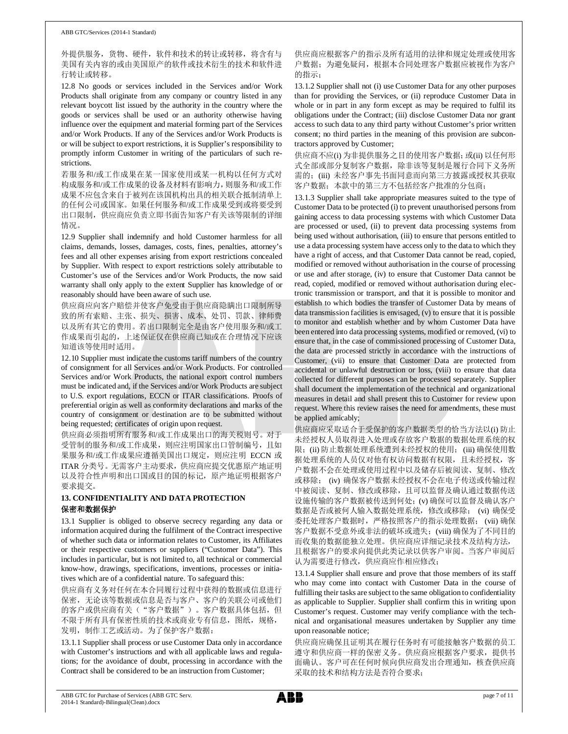外提供服务,货物、硬件,软件和技术的转让或转移,将含有与 美国有关内容的或由美国原产的软件或技术衍生的技术和软件进 行转让或转移。

12.8 No goods or services included in the Services and/or Work Products shall originate from any company or country listed in any relevant boycott list issued by the authority in the country where the goods or services shall be used or an authority otherwise having influence over the equipment and material forming part of the Services and/or Work Products. If any of the Services and/or Work Products is or will be subject to export restrictions, it is Supplier's responsibility to promptly inform Customer in writing of the particulars of such restrictions.

若服务和/或工作成果在某一国家使用或某一机构以任何方式对 构成服务和/或工作成果的设备及材料有影响力,则服务和/或工作 成果不应包含来自于被列在该国机构出具的相关联合抵制清单上 的任何公司或国家。如果任何服务和/或工作成果受到或将要受到 出口限制,供应商应负责立即书面告知客户有关该等限制的详细 情况。

12.9 Supplier shall indemnify and hold Customer harmless for all claims, demands, losses, damages, costs, fines, penalties, attorney's fees and all other expenses arising from export restrictions concealed by Supplier. With respect to export restrictions solely attributable to Customer's use of the Services and/or Work Products, the now said warranty shall only apply to the extent Supplier has knowledge of or reasonably should have been aware of such use.

供应商应向客户赔偿并使客户免受由于供应商隐瞒出口限制所导 致的所有索赔、主张、损失、损害、成本、处罚、罚款、律师费 以及所有其它的费用。若出口限制完全是由客户使用服务和/或工 作成果而引起的,上述保证仅在供应商已知或在合理情况下应该 知道该等使用时适用。

12.10 Supplier must indicate the customs tariff numbers of the country of consignment for all Services and/or Work Products. For controlled Services and/or Work Products, the national export control numbers must be indicated and, if the Services and/or Work Products are subject to U.S. export regulations, ECCN or ITAR classifications. Proofs of preferential origin as well as conformity declarations and marks of the country of consignment or destination are to be submitted without being requested; certificates of origin upon request.

供应商必须指明所有服务和/或工作成果出口的海关税则号。对于 受管制的服务和/或工作成果,则应注明国家出口管制编号,且如 果服务和/或工作成果应遵循美国出口规定,则应注明 ECCN 或 ITAR 分类号。无需客户主动要求,供应商应提交优惠原产地证明 以及符合性声明和出口国或目的国的标记,原产地证明根据客户 要求提交。

## **13. CONFIDENTIALITY AND DATA PROTECTION** 保密和数据保护

13.1 Supplier is obliged to observe secrecy regarding any data or information acquired during the fulfilment of the Contract irrespective of whether such data or information relates to Customer, its Affiliates or their respective customers or suppliers ("Customer Data"). This includes in particular, but is not limited to, all technical or commercial know-how, drawings, specifications, inventions, processes or initiatives which are of a confidential nature. To safeguard this:

供应商有义务对任何在本合同履行过程中获得的数据或信息进行 保密,无论该等数据或信息是否与客户、客户的关联公司或他们 的客户或供应商有关("客户数据")。客户数据具体包括,但 不限于所有具有保密性质的技术或商业专有信息,图纸,规格, 发明,制作工艺或活动。为了保护客户数据:

13.1.1 Supplier shall process or use Customer Data only in accordance with Customer's instructions and with all applicable laws and regulations; for the avoidance of doubt, processing in accordance with the Contract shall be considered to be an instruction from Customer;

供应商应根据客户的指示及所有适用的法律和规定处理或使用客 户数据;为避免疑问,根据本合同处理客户数据应被视作为客户 的指示;

13.1.2 Supplier shall not (i) use Customer Data for any other purposes than for providing the Services, or (ii) reproduce Customer Data in whole or in part in any form except as may be required to fulfil its obligations under the Contract; (iii) disclose Customer Data nor grant access to such data to any third party without Customer's prior written consent; no third parties in the meaning of this provision are subcontractors approved by Customer;

供应商不应(i) 为非提供服务之目的使用客户数据; 或(ii) 以任何形 式全部或部分复制客户数据,除非该等复制是履行合同下义务所 需的;(iii) 未经客户事先书面同意而向第三方披露或授权其获取 客户数据;本款中的第三方不包括经客户批准的分包商;

13.1.3 Supplier shall take appropriate measures suited to the type of Customer Data to be protected (i) to prevent unauthorised persons from gaining access to data processing systems with which Customer Data are processed or used, (ii) to prevent data processing systems from being used without authorisation, (iii) to ensure that persons entitled to use a data processing system have access only to the data to which they have a right of access, and that Customer Data cannot be read, copied, modified or removed without authorisation in the course of processing or use and after storage, (iv) to ensure that Customer Data cannot be read, copied, modified or removed without authorisation during electronic transmission or transport, and that it is possible to monitor and establish to which bodies the transfer of Customer Data by means of data transmission facilities is envisaged, (v) to ensure that it is possible to monitor and establish whether and by whom Customer Data have been entered into data processing systems, modified or removed, (vi) to ensure that, in the case of commissioned processing of Customer Data, the data are processed strictly in accordance with the instructions of Customer, (vii) to ensure that Customer Data are protected from accidental or unlawful destruction or loss, (viii) to ensure that data collected for different purposes can be processed separately. Supplier shall document the implementation of the technical and organizational measures in detail and shall present this to Customer for review upon request. Where this review raises the need for amendments, these must be applied amicably;

供应商应采取适合于受保护的客户数据类型的恰当方法以(i) 防止 未经授权人员取得进入处理或存放客户数据的数据处理系统的权 限; (ii) 防止数据处理系统遭到未经授权的使用; (iii) 确保使用数 据处理系统的人员仅对他有权访问数据有权限,且未经授权,客 户数据不会在处理或使用过程中以及储存后被阅读、复制、修改 或移除; (iv) 确保客户数据未经授权不会在电子传送或传输过程 中被阅读、复制、修改或移除,且可以监督及确认通过数据传送 设施传输的客户数据被传送到何处; (v) 确保可以监督及确认客户 数据是否或被何人输入数据处理系统,修改或移除; (vi) 确保受 委托处理客户数据时,严格按照客户的指示处理数据; (vii) 确保 客户数据不受意外或非法的破坏或遗失; (viii) 确保为了不同目的 而收集的数据能独立处理。供应商应详细记录技术及结构方法, 且根据客户的要求向提供此类记录以供客户审阅。当客户审阅后 认为需要进行修改,供应商应作相应修改;

13.1.4 Supplier shall ensure and prove that those members of its staff who may come into contact with Customer Data in the course of fulfilling their tasks are subject to the same obligation to confidentiality as applicable to Supplier. Supplier shall confirm this in writing upon Customer's request. Customer may verify compliance with the technical and organisational measures undertaken by Supplier any time upon reasonable notice;

供应商应确保且证明其在履行任务时有可能接触客户数据的员工 遵守和供应商一样的保密义务。供应商应根据客户要求,提供书 面确认。客户可在任何时候向供应商发出合理通知,核查供应商 采取的技术和结构方法是否符合要求;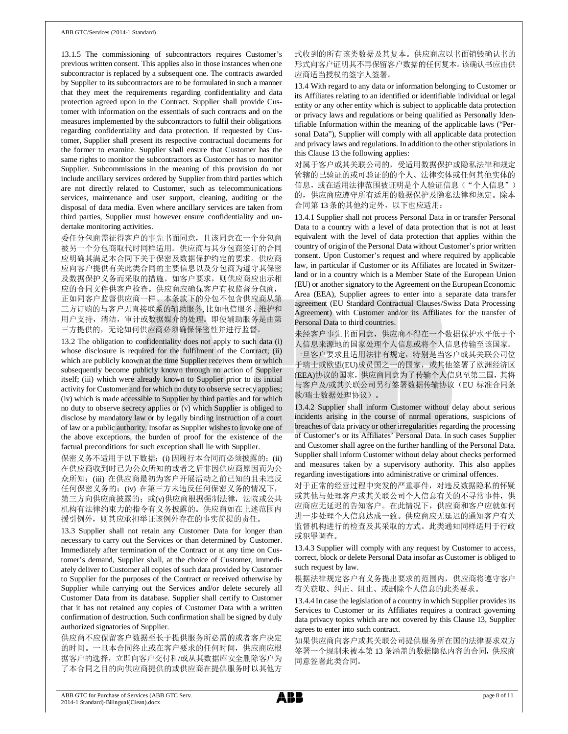13.1.5 The commissioning of subcontractors requires Customer's previous written consent. This applies also in those instances when one subcontractor is replaced by a subsequent one. The contracts awarded by Supplier to its subcontractors are to be formulated in such a manner that they meet the requirements regarding confidentiality and data protection agreed upon in the Contract. Supplier shall provide Customer with information on the essentials of such contracts and on the measures implemented by the subcontractors to fulfil their obligations regarding confidentiality and data protection. If requested by Customer, Supplier shall present its respective contractual documents for the former to examine. Supplier shall ensure that Customer has the same rights to monitor the subcontractors as Customer has to monitor Supplier. Subcommissions in the meaning of this provision do not include ancillary services ordered by Supplier from third parties which are not directly related to Customer, such as telecommunications services, maintenance and user support, cleaning, auditing or the disposal of data media. Even where ancillary services are taken from third parties, Supplier must however ensure confidentiality and undertake monitoring activities.

委任分包商需征得客户的事先书面同意,且该同意在一个分包商 被另一个分包商取代时同样适用。供应商与其分包商签订的合同 应明确其满足本合同下关于保密及数据保护约定的要求。供应商 应向客户提供有关此类合同的主要信息以及分包商为遵守其保密 及数据保护义务而采取的措施。如客户要求,则供应商应出示相 应的合同文件供客户检查。供应商应确保客户有权监督分包商, 正如同客户监督供应商一样。本条款下的分包不包含供应商从第 三方订购的与客户无直接联系的辅助服务, 比如电信服务,维护和 用户支持,清洁,审计或数据媒介的处理。即使辅助服务是由第 三方提供的,无论如何供应商必须确保保密性并进行监督。

13.2 The obligation to confidentiality does not apply to such data (i) whose disclosure is required for the fulfilment of the Contract; (ii) which are publicly known at the time Supplier receives them or which subsequently become publicly known through no action of Supplier itself; (iii) which were already known to Supplier prior to its initial activity for Customer and for which no duty to observe secrecy applies; (iv) which is made accessible to Supplier by third parties and for which no duty to observe secrecy applies or (v) which Supplier is obliged to disclose by mandatory law or by legally binding instruction of a court of law or a public authority. Insofar as Supplier wishes to invoke one of the above exceptions, the burden of proof for the existence of the factual preconditions for such exception shall lie with Supplier.

保密义务不适用于以下数据: (i) 因履行本合同而必须披露的; (ii) 在供应商收到时已为公众所知的或者之后非因供应商原因而为公 众所知;(iii) 在供应商最初为客户开展活动之前已知的且未违反 任何保密义务的;(iv) 在第三方未违反任何保密义务的情况下, 第三方向供应商披露的; 或(v)供应商根据强制法律, 法院或公共 机构有法律约束力的指令有义务披露的。供应商如在上述范围内 援引例外,则其应承担举证该例外存在的事实前提的责任。

13.3 Supplier shall not retain any Customer Data for longer than necessary to carry out the Services or than determined by Customer. Immediately after termination of the Contract or at any time on Customer's demand, Supplier shall, at the choice of Customer, immediately deliver to Customer all copies of such data provided by Customer to Supplier for the purposes of the Contract or received otherwise by Supplier while carrying out the Services and/or delete securely all Customer Data from its database. Supplier shall certify to Customer that it has not retained any copies of Customer Data with a written confirmation of destruction. Such confirmation shall be signed by duly authorized signatories of Supplier.

供应商不应保留客户数据至长于提供服务所必需的或者客户决定 的时间。一旦本合同终止或在客户要求的任何时间,供应商应根 据客户的选择,立即向客户交付和/或从其数据库安全删除客户为 了本合同之目的向供应商提供的或供应商在提供服务时以其他方

式收到的所有该类数据及其复本。供应商应以书面销毁确认书的 形式向客户证明其不再保留客户数据的任何复本。该确认书应由供 应商适当授权的签字人签署。

13.4 With regard to any data or information belonging to Customer or its Affiliates relating to an identified or identifiable individual or legal entity or any other entity which is subject to applicable data protection or privacy laws and regulations or being qualified as Personally Identifiable Information within the meaning of the applicable laws ("Personal Data"), Supplier will comply with all applicable data protection and privacy laws and regulations. In addition to the other stipulations in this Clause 13 the following applies:

对属于客户或其关联公司的,受适用数据保护或隐私法律和规定 管辖的已验证的或可验证的的个人、法律实体或任何其他实体的 信息, 或在适用法律范围被证明是个人验证信息("个人信息") 的,供应商应遵守所有适用的数据保护及隐私法律和规定。除本 合同第 13 条的其他约定外,以下也应适用:

13.4.1 Supplier shall not process Personal Data in or transfer Personal Data to a country with a level of data protection that is not at least equivalent with the level of data protection that applies within the country of origin of the Personal Data without Customer's prior written consent. Upon Customer's request and where required by applicable law, in particular if Customer or its Affiliates are located in Switzerland or in a country which is a Member State of the European Union (EU) or another signatory to the Agreement on the European Economic Area (EEA), Supplier agrees to enter into a separate data transfer agreement (EU Standard Contractual Clauses/Swiss Data Processing Agreement) with Customer and/or its Affiliates for the transfer of Personal Data to third countries.

未经客户事先书面同意,供应商不得在一个数据保护水平低于个 人信息来源地的国家处理个人信息或将个人信息传输至该国家。 一旦客户要求且适用法律有规定,特别是当客户或其关联公司位 于瑞士或欧盟(EU)成员国之一的国家,或其他签署了欧洲经济区 (EEA)协议的国家,供应商同意为了传输个人信息至第三国,其将 与客户及/或其关联公司另行签署数据传输协议(EU 标准合同条 款/瑞士数据处理协议)。

13.4.2 Supplier shall inform Customer without delay about serious incidents arising in the course of normal operations, suspicions of breaches of data privacy or other irregularities regarding the processing of Customer's or its Affiliates' Personal Data. In such cases Supplier and Customer shall agree on the further handling of the Personal Data. Supplier shall inform Customer without delay about checks performed and measures taken by a supervisory authority. This also applies regarding investigations into administrative or criminal offences.

对于正常的经营过程中突发的严重事件,对违反数据隐私的怀疑 或其他与处理客户或其关联公司个人信息有关的不寻常事件,供 应商应无延迟的告知客户。在此情况下,供应商和客户应就如何 进一步处理个人信息达成一致。供应商应无延迟的通知客户有关 监督机构进行的检查及其采取的方式。此类通知同样适用于行政 或犯罪调查。

13.4.3 Supplier will comply with any request by Customer to access, correct, block or delete Personal Data insofar as Customer is obliged to such request by law.

根据法律规定客户有义务提出要求的范围内,供应商将遵守客户 有关获取、纠正、阻止、或删除个人信息的此类要求。

13.4.4 In case the legislation of a country in which Supplier provides its Services to Customer or its Affiliates requires a contract governing data privacy topics which are not covered by this Clause 13, Supplier agrees to enter into such contract.

如果供应商向客户或其关联公司提供服务所在国的法律要求双方 签署一个规制未被本第 13 条涵盖的数据隐私内容的合同,供应商 同意签署此类合同。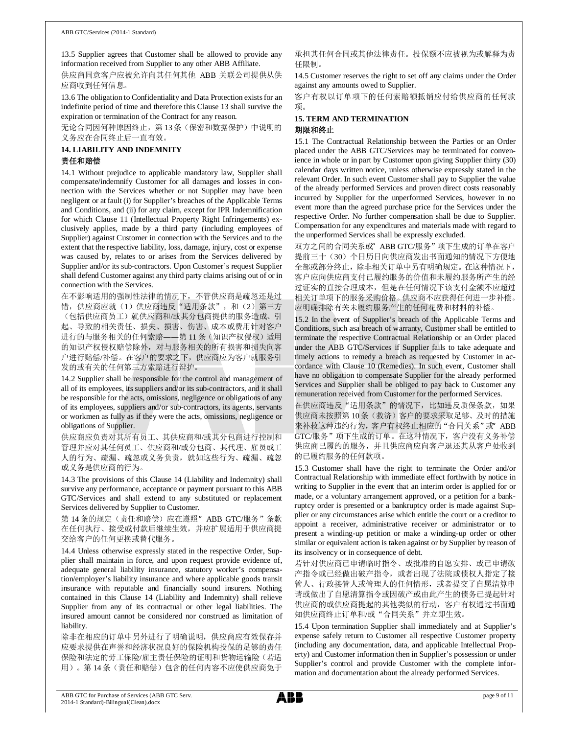13.5 Supplier agrees that Customer shall be allowed to provide any information received from Supplier to any other ABB Affiliate.

供应商同意客户应被允许向其任何其他 ABB 关联公司提供从供 应商收到任何信息。

13.6 The obligation to Confidentiality and Data Protection exists for an indefinite period of time and therefore this Clause 13 shall survive the expiration or termination of the Contract for any reason.

无论合同因何种原因终止, 第13条(保密和数据保护)中说明的 义务应在合同终止后一直有效。

## **14. LIABILITY AND INDEMNITY**

## 责任和赔偿

14.1 Without prejudice to applicable mandatory law, Supplier shall compensate/indemnify Customer for all damages and losses in connection with the Services whether or not Supplier may have been negligent or at fault (i) for Supplier's breaches of the Applicable Terms and Conditions, and (ii) for any claim, except for IPR Indemnification for which Clause 11 (Intellectual Property Right Infringements) exclusively applies, made by a third party (including employees of Supplier) against Customer in connection with the Services and to the extent that the respective liability, loss, damage, injury, cost or expense was caused by, relates to or arises from the Services delivered by Supplier and/or its sub-contractors. Upon Customer's request Supplier shall defend Customer against any third party claims arising out of or in connection with the Services.

在不影响适用的强制性法律的情况下,不管供应商是疏忽还是过 错,供应商应就(1)供应商违反"适用条款",和(2)第三方 (包括供应商员工)就供应商和/或其分包商提供的服务造成、引 起、导致的相关责任、损失、损害、伤害、成本或费用针对客户 进行的与服务相关的任何索赔——第 11 条(知识产权侵权)适用 的知识产权侵权赔偿除外,对与服务相关的所有损害和损失向客 户进行赔偿/补偿。在客户的要求之下,供应商应为客户就服务引 发的或有关的任何第三方索赔进行辩护。

14.2 Supplier shall be responsible for the control and management of all of its employees, its suppliers and/or its sub-contractors, and it shall be responsible for the acts, omissions, negligence or obligations of any of its employees, suppliers and/or sub-contractors, its agents, servants or workmen as fully as if they were the acts, omissions, negligence or obligations of Supplier.

供应商应负责对其所有员工、其供应商和/或其分包商进行控制和 管理并应对其任何员工、供应商和/或分包商、其代理、雇员或工 人的行为、疏漏、疏忽或义务负责,就如这些行为、疏漏、疏忽 或义务是供应商的行为。

14.3 The provisions of this Clause 14 (Liability and Indemnity) shall survive any performance, acceptance or payment pursuant to this ABB GTC/Services and shall extend to any substituted or replacement Services delivered by Supplier to Customer.

第 14 条的规定(责任和赔偿)应在遵照" ABB GTC/服务"条款 在任何执行、接受或付款后继续生效,并应扩展适用于供应商提 交给客户的任何更换或替代服务。

14.4 Unless otherwise expressly stated in the respective Order, Supplier shall maintain in force, and upon request provide evidence of, adequate general liability insurance, statutory worker's compensation/employer's liability insurance and where applicable goods transit insurance with reputable and financially sound insurers. Nothing contained in this Clause 14 (Liability and Indemnity) shall relieve Supplier from any of its contractual or other legal liabilities. The insured amount cannot be considered nor construed as limitation of liability.

除非在相应的订单中另外进行了明确说明,供应商应有效保存并 应要求提供在声誉和经济状况良好的保险机构投保的足够的责任 保险和法定的劳工保险/雇主责任保险的证明和货物运输险(若适 用)。第 14 条(责任和赔偿)包含的任何内容不应使供应商免于 承担其任何合同或其他法律责任。投保额不应被视为或解释为责 任限制。

14.5 Customer reserves the right to set off any claims under the Order against any amounts owed to Supplier.

客户有权以订单项下的任何索赔额抵销应付给供应商的任何款 项。

#### **15. TERM AND TERMINATION** 期限和终止

15.1 The Contractual Relationship between the Parties or an Order placed under the ABB GTC/Services may be terminated for convenience in whole or in part by Customer upon giving Supplier thirty (30) calendar days written notice, unless otherwise expressly stated in the relevant Order. In such event Customer shall pay to Supplier the value of the already performed Services and proven direct costs reasonably incurred by Supplier for the unperformed Services, however in no event more than the agreed purchase price for the Services under the respective Order. No further compensation shall be due to Supplier. Compensation for any expenditures and materials made with regard to the unperformed Services shall be expressly excluded.

双方之间的合同关系或"ABB GTC/服务"项下生成的订单在客户 提前三十(30)个日历日向供应商发出书面通知的情况下方便地 全部或部分终止,除非相关订单中另有明确规定。在这种情况下, 客户应向供应商支付已履约服务的价值和未履约服务所产生的经 过证实的直接合理成本,但是在任何情况下该支付金额不应超过 相关订单项下的服务采购价格。供应商不应获得任何进一步补偿。 应明确排除有关未履约服务产生的任何花费和材料的补偿。

15.2 In the event of Supplier's breach of the Applicable Terms and Conditions, such asa breach of warranty, Customer shall be entitled to terminate the respective Contractual Relationship or an Order placed under the ABB GTC/Services if Supplier fails to take adequate and timely actions to remedy a breach as requested by Customer in accordance with Clause 10 (Remedies). In such event, Customer shall have no obligation to compensate Supplier for the already performed Services and Supplier shall be obliged to pay back to Customer any remuneration received from Customer for the performed Services.

在供应商违反"适用条款"的情况下,比如违反质保条款,如果 供应商未按照第 10 条(救济)客户的要求采取足够、及时的措施 来补救这种违约行为, 客户有权终止相应的"合同关系"或 ABB GTC/服务"项下生成的订单。在这种情况下,客户没有义务补偿 供应商已履约的服务,并且供应商应向客户退还其从客户处收到 的已履约服务的任何款项。

15.3 Customer shall have the right to terminate the Order and/or Contractual Relationship with immediate effect forthwith by notice in writing to Supplier in the event that an interim order is applied for or made, or a voluntary arrangement approved, or a petition for a bankruptcy order is presented or a bankruptcy order is made against Supplier or any circumstances arise which entitle the court or a creditor to appoint a receiver, administrative receiver or administrator or to present a winding-up petition or make a winding-up order or other similar or equivalent action is taken against or by Supplier by reason of its insolvency or in consequence of debt.

若针对供应商已申请临时指令、或批准的自愿安排、或已申请破 产指令或已经做出破产指令,或者出现了法院或债权人指定了接 管人、行政接管人或管理人的任何情形,或者提交了自愿清算申 请或做出了自愿清算指令或因破产或由此产生的债务已提起针对 供应商的或供应商提起的其他类似的行动,客户有权通过书面通 知供应商终止订单和/或"合同关系"并立即生效。

15.4 Upon termination Supplier shall immediately and at Supplier's expense safely return to Customer all respective Customer property (including any documentation, data, and applicable Intellectual Property) and Customer information then in Supplier's possession or under Supplier's control and provide Customer with the complete information and documentation about the already performed Services.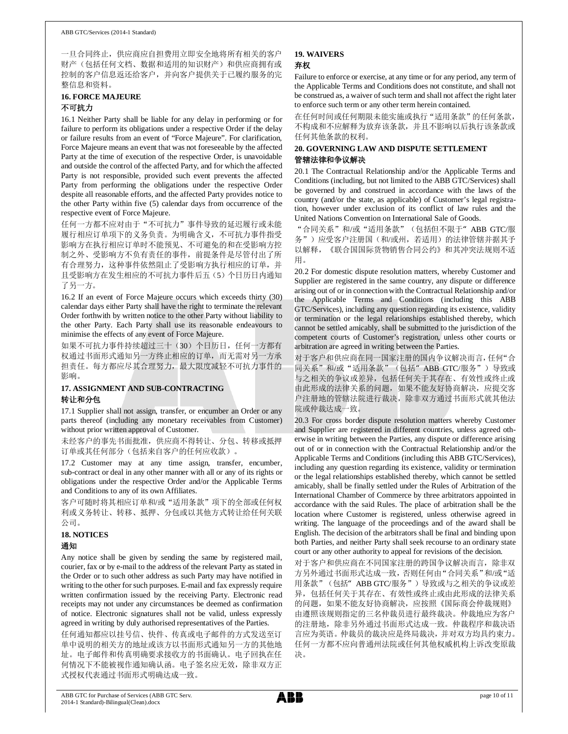#### ABB GTC/Services (2014-1 Standard)

一旦合同终止,供应商应自担费用立即安全地将所有相关的客户 财产(包括任何文档、数据和适用的知识财产)和供应商拥有或 控制的客户信息返还给客户,并向客户提供关于已履约服务的完 整信息和资料。

# **16. FORCE MAJEURE**

## 不可抗力

16.1 Neither Party shall be liable for any delay in performing or for failure to perform its obligations under a respective Order if the delay or failure results from an event of "Force Majeure". For clarification, Force Majeure means an event that was not foreseeable by the affected Party at the time of execution of the respective Order, is unavoidable and outside the control of the affected Party, and for which the affected Party is not responsible, provided such event prevents the affected Party from performing the obligations under the respective Order despite all reasonable efforts, and the affected Party provides notice to the other Party within five (5) calendar days from occurrence of the respective event of Force Majeure.

任何一方都不应对由于"不可抗力"事件导致的延迟履行或未能 履行相应订单项下的义务负责。为明确含义,不可抗力事件指受 影响方在执行相应订单时不能预见、不可避免的和在受影响方控 制之外、受影响方不负有责任的事件,前提条件是尽管付出了所 有合理努力,这种事件依然阻止了受影响方执行相应的订单,并 且受影响方在发生相应的不可抗力事件后五(5)个日历日内通知 了另一方。

16.2 If an event of Force Majeure occurs which exceeds thirty (30) calendar days either Party shall have the right to terminate the relevant Order forthwith by written notice to the other Party without liability to the other Party. Each Party shall use its reasonable endeavours to minimise the effects of any event of Force Majeure.

如果不可抗力事件持续超过三十(30)个日历日,任何一方都有 权通过书面形式通知另一方终止相应的订单,而无需对另一方承 担责任。每方都应尽其合理努力,最大限度减轻不可抗力事件的 影响。

### **17. ASSIGNMENT AND SUB-CONTRACTING** 转让和分包

17.1 Supplier shall not assign, transfer, or encumber an Order or any parts thereof (including any monetary receivables from Customer) without prior written approval of Customer.

未经客户的事先书面批准,供应商不得转让、分包、转移或抵押 订单或其任何部分(包括来自客户的任何应收款)。

17.2 Customer may at any time assign, transfer, encumber, sub-contract or deal in any other manner with all or any of its rights or obligations under the respective Order and/or the Applicable Terms and Conditions to any of its own Affiliates.

客户可随时将其相应订单和/或"适用条款"项下的全部或任何权 利或义务转让、转移、抵押、分包或以其他方式转让给任何关联 公司。

## **18. NOTICES**

## 通知

Any notice shall be given by sending the same by registered mail, courier, fax or by e-mail to the address of the relevant Party as stated in the Order or to such other address as such Party may have notified in writing to the other for such purposes. E-mail and fax expressly require written confirmation issued by the receiving Party. Electronic read receipts may not under any circumstances be deemed as confirmation of notice. Electronic signatures shall not be valid, unless expressly agreed in writing by duly authorised representatives of the Parties.

任何通知都应以挂号信、快件、传真或电子邮件的方式发送至订 单中说明的相关方的地址或该方以书面形式通知另一方的其他地 址。电子邮件和传真明确要求接收方的书面确认。电子回执在任 何情况下不能被视作通知确认函。电子签名应无效,除非双方正 式授权代表通过书面形式明确达成一致。

## **19. WAIVERS** 弃权

Failure to enforce or exercise, at any time or for any period, any term of the Applicable Terms and Conditions does not constitute, and shall not be construed as, a waiver of such term and shall not affect the right later to enforce such term or any other term herein contained.

在任何时间或任何期限未能实施或执行"适用条款"的任何条款, 不构成和不应解释为放弃该条款,并且不影响以后执行该条款或 任何其他条款的权利。

## **20. GOVERNING LAW AND DISPUTE SETTLEMENT** 管辖法律和争议解决

20.1 The Contractual Relationship and/or the Applicable Terms and Conditions (including, but not limited to the ABB GTC/Services) shall be governed by and construed in accordance with the laws of the country (and/or the state, as applicable) of Customer's legal registration, however under exclusion of its conflict of law rules and the United Nations Convention on International Sale of Goods.

"合同关系"和/或"适用条款"(包括但不限于"ABB GTC/服 务")应受客户注册国(和/或州,若适用)的法律管辖并据其予 以解释,《联合国国际货物销售合同公约》和其冲突法规则不适 用。

20.2 For domestic dispute resolution matters, whereby Customer and Supplier are registered in the same country, any dispute or difference arising out of or in connection with the Contractual Relationship and/or the Applicable Terms and Conditions (including this ABB GTC/Services), including any question regarding its existence, validity or termination or the legal relationships established thereby, which cannot be settled amicably, shall be submitted to the jurisdiction of the competent courts of Customer's registration, unless other courts or arbitration are agreed in writing between the Parties.

对于客户和供应商在同一国家注册的国内争议解决而言,任何"合 同关系"和/或"适用条款"(包括"ABB GTC/服务")导致或 与之相关的争议或差异,包括任何关于其存在、有效性或终止或 由此形成的法律关系的问题,如果不能友好协商解决,应提交客 户注册地的管辖法院进行裁决,除非双方通过书面形式就其他法 院或仲裁达成一致。

20.3 For cross border dispute resolution matters whereby Customer and Supplier are registered in different countries, unless agreed otherwise in writing between the Parties, any dispute or difference arising out of or in connection with the Contractual Relationship and/or the Applicable Terms and Conditions (including this ABB GTC/Services), including any question regarding its existence, validity or termination or the legal relationships established thereby, which cannot be settled amicably, shall be finally settled under the Rules of Arbitration of the International Chamber of Commerce by three arbitrators appointed in accordance with the said Rules. The place of arbitration shall be the location where Customer is registered, unless otherwise agreed in writing. The language of the proceedings and of the award shall be English. The decision of the arbitrators shall be final and binding upon both Parties, and neither Party shall seek recourse to an ordinary state court or any other authority to appeal for revisions of the decision.

对于客户和供应商在不同国家注册的跨国争议解决而言,除非双 方另外通过书面形式达成一致,否则任何由"合同关系"和/或"适 用条款"(包括"ABB GTC/服务")导致或与之相关的争议或差 异,包括任何关于其存在、有效性或终止或由此形成的法律关系 的问题,如果不能友好协商解决,应按照《国际商会仲裁规则》 由遵照该规则指定的三名仲裁员进行最终裁决。仲裁地应为客户 的注册地,除非另外通过书面形式达成一致。仲裁程序和裁决语 言应为英语。仲裁员的裁决应是终局裁决,并对双方均具约束力。 任何一方都不应向普通州法院或任何其他权威机构上诉改变原裁 决。